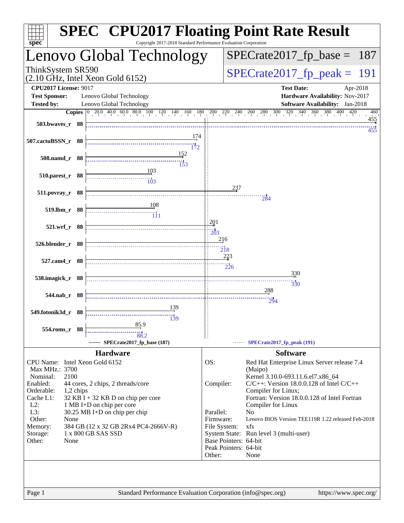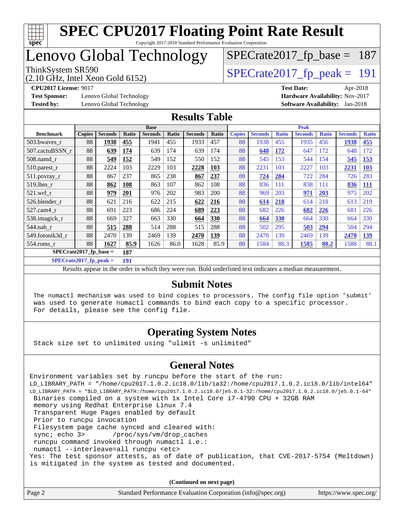

Copyright 2017-2018 Standard Performance Evaluation Corporation

## Lenovo Global Technology

(2.10 GHz, Intel Xeon Gold 6152)

ThinkSystem SR590<br>  $(2.10 \text{ GHz})$  Intel Xeon Gold 6152)

[SPECrate2017\\_fp\\_base =](http://www.spec.org/auto/cpu2017/Docs/result-fields.html#SPECrate2017fpbase) 187

**[Test Sponsor:](http://www.spec.org/auto/cpu2017/Docs/result-fields.html#TestSponsor)** Lenovo Global Technology **[Hardware Availability:](http://www.spec.org/auto/cpu2017/Docs/result-fields.html#HardwareAvailability)** Nov-2017 **[Tested by:](http://www.spec.org/auto/cpu2017/Docs/result-fields.html#Testedby)** Lenovo Global Technology **[Software Availability:](http://www.spec.org/auto/cpu2017/Docs/result-fields.html#SoftwareAvailability)** Jan-2018

**[CPU2017 License:](http://www.spec.org/auto/cpu2017/Docs/result-fields.html#CPU2017License)** 9017 **[Test Date:](http://www.spec.org/auto/cpu2017/Docs/result-fields.html#TestDate)** Apr-2018

#### **[Results Table](http://www.spec.org/auto/cpu2017/Docs/result-fields.html#ResultsTable)**

|                           | <b>Base</b>   |                |            |                |       | <b>Peak</b>    |            |               |                |              |                |              |                |              |
|---------------------------|---------------|----------------|------------|----------------|-------|----------------|------------|---------------|----------------|--------------|----------------|--------------|----------------|--------------|
| <b>Benchmark</b>          | <b>Copies</b> | <b>Seconds</b> | Ratio      | <b>Seconds</b> | Ratio | <b>Seconds</b> | Ratio      | <b>Copies</b> | <b>Seconds</b> | <b>Ratio</b> | <b>Seconds</b> | <b>Ratio</b> | <b>Seconds</b> | <b>Ratio</b> |
| 503.bwayes_r              | 88            | 1938           | 455        | 1941           | 455   | 1933           | 457        | 88            | 1938           | 455          | 1935           | 456          | 1938           | 455          |
| 507.cactuBSSN r           | 88            | 639            | 174        | 639            | 174   | 639            | 174        | 88            | 648            | <u>172</u>   | 647            | 172          | 648            | 172          |
| $508$ .namd $r$           | 88            | 549            | 152        | 549            | 152   | 550            | 152        | 88            | 545            | 153          | 544            | 154          | 545            | <b>153</b>   |
| $510.parest_r$            | 88            | 2224           | 103        | 2229           | 103   | 2228           | 103        | 88            | 2231           | 103          | 2227           | 103          | 2231           | <b>103</b>   |
| 511.povray_r              | 88            | 867            | 237        | 865            | 238   | 867            | 237        | 88            | 724            | 284          | 722            | 284          | 726            | 283          |
| 519.lbm r                 | 88            | 862            | 108        | 863            | 107   | 862            | 108        | 88            | 836            | 111          | 838            | 111          | 836            | <u>111</u>   |
| $521$ .wrf r              | 88            | 979            | <b>201</b> | 976            | 202   | 983            | 200        | 88            | 969            | 203          | 971            | 203          | 975            | 202          |
| 526.blender r             | 88            | 621            | 216        | 622            | 215   | 622            | 216        | 88            | 614            | 218          | 614            | 218          | 613            | 219          |
| 527.cam4 r                | 88            | 691            | 223        | 686            | 224   | 689            | 223        | 88            | 682            | 226          | 682            | 226          | 681            | 226          |
| 538.imagick_r             | 88            | 669            | 327        | 663            | 330   | 664            | <b>330</b> | 88            | 664            | 330          | 664            | 330          | 664            | 330          |
| $544$ .nab_r              | 88            | 515            | 288        | 514            | 288   | 515            | 288        | 88            | 502            | 295          | 503            | 294          | 504            | 294          |
| 549.fotonik3d r           | 88            | 2470           | 139        | 2469           | 139   | 2470           | <u>139</u> | 88            | 2470           | 139          | 2469           | 139          | 2470           | <u>139</u>   |
| $554$ .roms $r$           | 88            | 1627           | 85.9       | 1626           | 86.0  | 1628           | 85.9       | 88            | 1584           | 88.3         | 1585           | 88.2         | 1588           | 88.1         |
| $SPECrate2017_fp\_base =$ |               |                | 187        |                |       |                |            |               |                |              |                |              |                |              |

**[SPECrate2017\\_fp\\_peak =](http://www.spec.org/auto/cpu2017/Docs/result-fields.html#SPECrate2017fppeak) 191**

Results appear in the [order in which they were run.](http://www.spec.org/auto/cpu2017/Docs/result-fields.html#RunOrder) Bold underlined text [indicates a median measurement.](http://www.spec.org/auto/cpu2017/Docs/result-fields.html#Median)

#### **[Submit Notes](http://www.spec.org/auto/cpu2017/Docs/result-fields.html#SubmitNotes)**

 The numactl mechanism was used to bind copies to processors. The config file option 'submit' was used to generate numactl commands to bind each copy to a specific processor. For details, please see the config file.

#### **[Operating System Notes](http://www.spec.org/auto/cpu2017/Docs/result-fields.html#OperatingSystemNotes)**

Stack size set to unlimited using "ulimit -s unlimited"

#### **[General Notes](http://www.spec.org/auto/cpu2017/Docs/result-fields.html#GeneralNotes)**

Environment variables set by runcpu before the start of the run: LD\_LIBRARY\_PATH = "/home/cpu2017.1.0.2.ic18.0/lib/ia32:/home/cpu2017.1.0.2.ic18.0/lib/intel64" LD\_LIBRARY\_PATH = "\$LD\_LIBRARY\_PATH:/home/cpu2017.1.0.2.ic18.0/je5.0.1-32:/home/cpu2017.1.0.2.ic18.0/je5.0.1-64" Binaries compiled on a system with 1x Intel Core i7-4790 CPU + 32GB RAM memory using Redhat Enterprise Linux 7.4 Transparent Huge Pages enabled by default Prior to runcpu invocation Filesystem page cache synced and cleared with: sync; echo 3> /proc/sys/vm/drop\_caches runcpu command invoked through numactl i.e.: numactl --interleave=all runcpu <etc> Yes: The test sponsor attests, as of date of publication, that CVE-2017-5754 (Meltdown) is mitigated in the system as tested and documented.

**(Continued on next page)**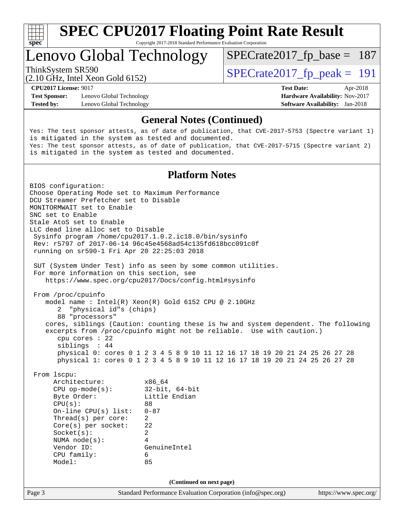

Copyright 2017-2018 Standard Performance Evaluation Corporation

### Lenovo Global Technology

 $SPECTate2017_fp\_peak = 191$ 

[SPECrate2017\\_fp\\_base =](http://www.spec.org/auto/cpu2017/Docs/result-fields.html#SPECrate2017fpbase) 187

(2.10 GHz, Intel Xeon Gold 6152)

**[Test Sponsor:](http://www.spec.org/auto/cpu2017/Docs/result-fields.html#TestSponsor)** Lenovo Global Technology **[Hardware Availability:](http://www.spec.org/auto/cpu2017/Docs/result-fields.html#HardwareAvailability)** Nov-2017 **[Tested by:](http://www.spec.org/auto/cpu2017/Docs/result-fields.html#Testedby)** Lenovo Global Technology **[Software Availability:](http://www.spec.org/auto/cpu2017/Docs/result-fields.html#SoftwareAvailability)** Jan-2018

**[CPU2017 License:](http://www.spec.org/auto/cpu2017/Docs/result-fields.html#CPU2017License)** 9017 **[Test Date:](http://www.spec.org/auto/cpu2017/Docs/result-fields.html#TestDate)** Apr-2018

#### **[General Notes \(Continued\)](http://www.spec.org/auto/cpu2017/Docs/result-fields.html#GeneralNotes)**

Yes: The test sponsor attests, as of date of publication, that CVE-2017-5753 (Spectre variant 1) is mitigated in the system as tested and documented. Yes: The test sponsor attests, as of date of publication, that CVE-2017-5715 (Spectre variant 2) is mitigated in the system as tested and documented.

#### **[Platform Notes](http://www.spec.org/auto/cpu2017/Docs/result-fields.html#PlatformNotes)**

Page 3 Standard Performance Evaluation Corporation [\(info@spec.org\)](mailto:info@spec.org) <https://www.spec.org/> BIOS configuration: Choose Operating Mode set to Maximum Performance DCU Streamer Prefetcher set to Disable MONITORMWAIT set to Enable SNC set to Enable Stale AtoS set to Enable LLC dead line alloc set to Disable Sysinfo program /home/cpu2017.1.0.2.ic18.0/bin/sysinfo Rev: r5797 of 2017-06-14 96c45e4568ad54c135fd618bcc091c0f running on sr590-1 Fri Apr 20 22:25:03 2018 SUT (System Under Test) info as seen by some common utilities. For more information on this section, see <https://www.spec.org/cpu2017/Docs/config.html#sysinfo> From /proc/cpuinfo model name : Intel(R) Xeon(R) Gold 6152 CPU @ 2.10GHz 2 "physical id"s (chips) 88 "processors" cores, siblings (Caution: counting these is hw and system dependent. The following excerpts from /proc/cpuinfo might not be reliable. Use with caution.) cpu cores : 22 siblings : 44 physical 0: cores 0 1 2 3 4 5 8 9 10 11 12 16 17 18 19 20 21 24 25 26 27 28 physical 1: cores 0 1 2 3 4 5 8 9 10 11 12 16 17 18 19 20 21 24 25 26 27 28 From lscpu: Architecture: x86\_64 CPU op-mode(s): 32-bit, 64-bit Byte Order: Little Endian  $CPU(s):$  88 On-line CPU(s) list: 0-87 Thread(s) per core: 2 Core(s) per socket: 22 Socket(s): 2 NUMA node(s): 4 Vendor ID: GenuineIntel CPU family: 6 Model: 85 **(Continued on next page)**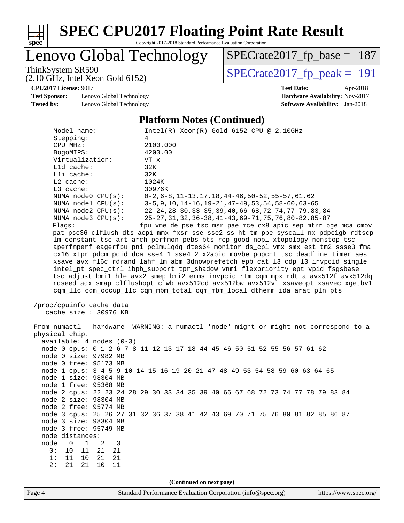

Copyright 2017-2018 Standard Performance Evaluation Corporation

Lenovo Global Technology

ThinkSystem SR590<br>  $(2.10 \text{ GHz})$  Intel Xeon Gold 6152) [SPECrate2017\\_fp\\_base =](http://www.spec.org/auto/cpu2017/Docs/result-fields.html#SPECrate2017fpbase) 187

(2.10 GHz, Intel Xeon Gold 6152)

**[CPU2017 License:](http://www.spec.org/auto/cpu2017/Docs/result-fields.html#CPU2017License)** 9017 **[Test Date:](http://www.spec.org/auto/cpu2017/Docs/result-fields.html#TestDate)** Apr-2018

**[Test Sponsor:](http://www.spec.org/auto/cpu2017/Docs/result-fields.html#TestSponsor)** Lenovo Global Technology **[Hardware Availability:](http://www.spec.org/auto/cpu2017/Docs/result-fields.html#HardwareAvailability)** Nov-2017 **[Tested by:](http://www.spec.org/auto/cpu2017/Docs/result-fields.html#Testedby)** Lenovo Global Technology **[Software Availability:](http://www.spec.org/auto/cpu2017/Docs/result-fields.html#SoftwareAvailability)** Jan-2018

#### **[Platform Notes \(Continued\)](http://www.spec.org/auto/cpu2017/Docs/result-fields.html#PlatformNotes)**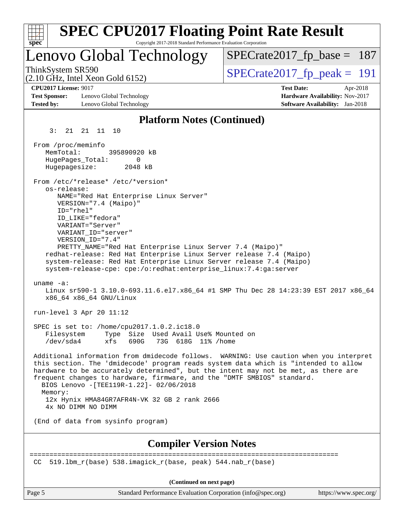| <b>SPEC CPU2017 Floating Point Rate Result</b><br>Copyright 2017-2018 Standard Performance Evaluation Corporation<br>$spec^*$                                                                                                                                                                                                                                                                        |                                                                                                            |
|------------------------------------------------------------------------------------------------------------------------------------------------------------------------------------------------------------------------------------------------------------------------------------------------------------------------------------------------------------------------------------------------------|------------------------------------------------------------------------------------------------------------|
| Lenovo Global Technology                                                                                                                                                                                                                                                                                                                                                                             | $SPECrate2017_fp\_base = 187$                                                                              |
| ThinkSystem SR590<br>$(2.10 \text{ GHz}, \text{Intel Xeon Gold } 6152)$                                                                                                                                                                                                                                                                                                                              | $SPECTate2017$ _fp_peak = 191                                                                              |
| <b>CPU2017 License: 9017</b><br><b>Test Sponsor:</b><br>Lenovo Global Technology<br><b>Tested by:</b><br>Lenovo Global Technology                                                                                                                                                                                                                                                                    | <b>Test Date:</b><br>Apr-2018<br>Hardware Availability: Nov-2017<br><b>Software Availability:</b> Jan-2018 |
| <b>Platform Notes (Continued)</b>                                                                                                                                                                                                                                                                                                                                                                    |                                                                                                            |
| 3:<br>21  21  11  10                                                                                                                                                                                                                                                                                                                                                                                 |                                                                                                            |
| From /proc/meminfo<br>MemTotal:<br>395890920 kB<br>HugePages_Total:<br>0<br>Hugepagesize:<br>2048 kB<br>From /etc/*release* /etc/*version*                                                                                                                                                                                                                                                           |                                                                                                            |
| os-release:<br>NAME="Red Hat Enterprise Linux Server"<br>VERSION="7.4 (Maipo)"<br>ID="rhel"                                                                                                                                                                                                                                                                                                          |                                                                                                            |
| ID LIKE="fedora"<br>VARIANT="Server"<br>VARIANT ID="server"<br>VERSION_ID="7.4"                                                                                                                                                                                                                                                                                                                      |                                                                                                            |
| PRETTY_NAME="Red Hat Enterprise Linux Server 7.4 (Maipo)"<br>redhat-release: Red Hat Enterprise Linux Server release 7.4 (Maipo)<br>system-release: Red Hat Enterprise Linux Server release 7.4 (Maipo)<br>system-release-cpe: cpe:/o:redhat:enterprise_linux:7.4:ga:server                                                                                                                          |                                                                                                            |
| uname $-a$ :<br>Linux sr590-1 3.10.0-693.11.6.el7.x86_64 #1 SMP Thu Dec 28 14:23:39 EST 2017 x86_64<br>x86 64 x86 64 GNU/Linux                                                                                                                                                                                                                                                                       |                                                                                                            |
| run-level 3 Apr 20 11:12                                                                                                                                                                                                                                                                                                                                                                             |                                                                                                            |
| SPEC is set to: /home/cpu2017.1.0.2.ic18.0<br>Type Size Used Avail Use% Mounted on<br>Filesystem<br>73G 618G 11% / home<br>/dev/sda4<br>xfs<br>690G —                                                                                                                                                                                                                                                |                                                                                                            |
| Additional information from dmidecode follows. WARNING: Use caution when you interpret<br>this section. The 'dmidecode' program reads system data which is "intended to allow<br>hardware to be accurately determined", but the intent may not be met, as there are<br>frequent changes to hardware, firmware, and the "DMTF SMBIOS" standard.<br>BIOS Lenovo -[TEE119R-1.22]- 02/06/2018<br>Memory: |                                                                                                            |
| 12x Hynix HMA84GR7AFR4N-VK 32 GB 2 rank 2666<br>4x NO DIMM NO DIMM                                                                                                                                                                                                                                                                                                                                   |                                                                                                            |
| (End of data from sysinfo program)                                                                                                                                                                                                                                                                                                                                                                   |                                                                                                            |
| <b>Compiler Version Notes</b>                                                                                                                                                                                                                                                                                                                                                                        |                                                                                                            |
| 519.1bm_r(base) 538.imagick_r(base, peak) 544.nab_r(base)<br>CC.                                                                                                                                                                                                                                                                                                                                     |                                                                                                            |
|                                                                                                                                                                                                                                                                                                                                                                                                      |                                                                                                            |

Page 5 Standard Performance Evaluation Corporation [\(info@spec.org\)](mailto:info@spec.org) <https://www.spec.org/>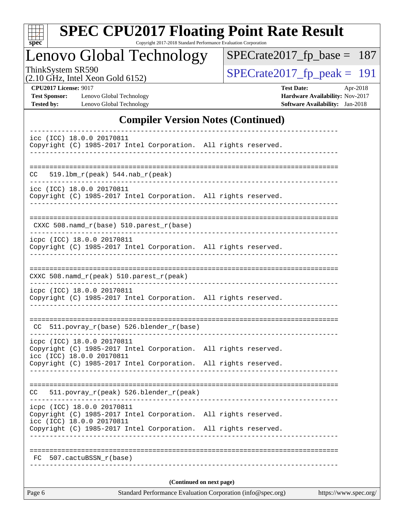| S<br>оe |  |  |  |  |  |
|---------|--|--|--|--|--|

Copyright 2017-2018 Standard Performance Evaluation Corporation

Lenovo Global Technology

ThinkSystem SR590<br>  $(2.10 \text{ GHz})$  Intel Xeon Gold 6152)

[SPECrate2017\\_fp\\_base =](http://www.spec.org/auto/cpu2017/Docs/result-fields.html#SPECrate2017fpbase) 187

(2.10 GHz, Intel Xeon Gold 6152)

**[CPU2017 License:](http://www.spec.org/auto/cpu2017/Docs/result-fields.html#CPU2017License)** 9017 **[Test Date:](http://www.spec.org/auto/cpu2017/Docs/result-fields.html#TestDate)** Apr-2018 **[Test Sponsor:](http://www.spec.org/auto/cpu2017/Docs/result-fields.html#TestSponsor)** Lenovo Global Technology **[Hardware Availability:](http://www.spec.org/auto/cpu2017/Docs/result-fields.html#HardwareAvailability)** Nov-2017 **[Tested by:](http://www.spec.org/auto/cpu2017/Docs/result-fields.html#Testedby)** Lenovo Global Technology **[Software Availability:](http://www.spec.org/auto/cpu2017/Docs/result-fields.html#SoftwareAvailability)** Jan-2018

### **[Compiler Version Notes \(Continued\)](http://www.spec.org/auto/cpu2017/Docs/result-fields.html#CompilerVersionNotes)**

| Page 6                                                                                                                                | Standard Performance Evaluation Corporation (info@spec.org) | https://www.spec.org/ |
|---------------------------------------------------------------------------------------------------------------------------------------|-------------------------------------------------------------|-----------------------|
|                                                                                                                                       | (Continued on next page)                                    |                       |
| 507.cactuBSSN r(base)<br>FC                                                                                                           |                                                             |                       |
|                                                                                                                                       |                                                             |                       |
| icc (ICC) 18.0.0 20170811<br>Copyright (C) 1985-2017 Intel Corporation. All rights reserved.                                          |                                                             |                       |
| icpc (ICC) 18.0.0 20170811<br>Copyright (C) 1985-2017 Intel Corporation. All rights reserved.                                         |                                                             |                       |
| 511.povray_r(peak) 526.blender_r(peak)<br>CC                                                                                          |                                                             |                       |
| Copyright (C) 1985-2017 Intel Corporation. All rights reserved.                                                                       |                                                             |                       |
| icpc (ICC) 18.0.0 20170811<br>Copyright (C) 1985-2017 Intel Corporation. All rights reserved.<br>icc (ICC) 18.0.0 20170811            |                                                             |                       |
| CC 511.povray_r(base) 526.blender_r(base)                                                                                             |                                                             |                       |
| Copyright (C) 1985-2017 Intel Corporation. All rights reserved.                                                                       |                                                             |                       |
| icpc (ICC) 18.0.0 20170811                                                                                                            | ------------------                                          |                       |
| CXXC 508.namd_r(peak) 510.parest_r(peak)                                                                                              |                                                             |                       |
| icpc (ICC) 18.0.0 20170811<br>Copyright (C) 1985-2017 Intel Corporation. All rights reserved.<br>____________________________________ |                                                             |                       |
| CXXC 508.namd_r(base) 510.parest_r(base)                                                                                              |                                                             |                       |
| Copyright (C) 1985-2017 Intel Corporation. All rights reserved.                                                                       |                                                             |                       |
| icc (ICC) 18.0.0 20170811                                                                                                             |                                                             |                       |
| $519.1$ bm_r(peak) $544.nab_r(peak)$<br>CC.                                                                                           |                                                             |                       |
| Copyright (C) 1985-2017 Intel Corporation. All rights reserved.                                                                       |                                                             |                       |
| icc (ICC) 18.0.0 20170811                                                                                                             |                                                             |                       |
|                                                                                                                                       |                                                             |                       |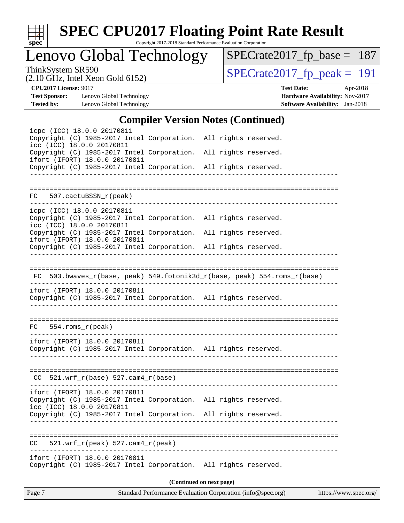

Copyright 2017-2018 Standard Performance Evaluation Corporation

Lenovo Global Technology

ThinkSystem SR590<br>  $(2.10 \text{ GHz})$  Intel Xeon Gold 6152) [SPECrate2017\\_fp\\_base =](http://www.spec.org/auto/cpu2017/Docs/result-fields.html#SPECrate2017fpbase) 187

(2.10 GHz, Intel Xeon Gold 6152)

**[CPU2017 License:](http://www.spec.org/auto/cpu2017/Docs/result-fields.html#CPU2017License)** 9017 **[Test Date:](http://www.spec.org/auto/cpu2017/Docs/result-fields.html#TestDate)** Apr-2018 **[Test Sponsor:](http://www.spec.org/auto/cpu2017/Docs/result-fields.html#TestSponsor)** Lenovo Global Technology **[Hardware Availability:](http://www.spec.org/auto/cpu2017/Docs/result-fields.html#HardwareAvailability)** Nov-2017 **[Tested by:](http://www.spec.org/auto/cpu2017/Docs/result-fields.html#Testedby)** Lenovo Global Technology **[Software Availability:](http://www.spec.org/auto/cpu2017/Docs/result-fields.html#SoftwareAvailability)** Jan-2018

### **[Compiler Version Notes \(Continued\)](http://www.spec.org/auto/cpu2017/Docs/result-fields.html#CompilerVersionNotes)**

|                                                                                                                            | $\mathbf{Complement}$ , ergion rotes (commuta)                           |  |
|----------------------------------------------------------------------------------------------------------------------------|--------------------------------------------------------------------------|--|
| icpc (ICC) 18.0.0 20170811<br>Copyright (C) 1985-2017 Intel Corporation. All rights reserved.<br>icc (ICC) 18.0.0 20170811 |                                                                          |  |
| Copyright (C) 1985-2017 Intel Corporation. All rights reserved.<br>ifort (IFORT) 18.0.0 20170811                           |                                                                          |  |
| Copyright (C) 1985-2017 Intel Corporation. All rights reserved.                                                            |                                                                          |  |
|                                                                                                                            |                                                                          |  |
| FC 507.cactuBSSN_r(peak)                                                                                                   |                                                                          |  |
| icpc (ICC) 18.0.0 20170811                                                                                                 |                                                                          |  |
| Copyright (C) 1985-2017 Intel Corporation. All rights reserved.<br>icc (ICC) 18.0.0 20170811                               |                                                                          |  |
| Copyright (C) 1985-2017 Intel Corporation. All rights reserved.<br>ifort (IFORT) 18.0.0 20170811                           |                                                                          |  |
| Copyright (C) 1985-2017 Intel Corporation. All rights reserved.                                                            |                                                                          |  |
|                                                                                                                            |                                                                          |  |
|                                                                                                                            | FC 503.bwaves_r(base, peak) 549.fotonik3d_r(base, peak) 554.roms_r(base) |  |
| ifort (IFORT) 18.0.0 20170811<br>Copyright (C) 1985-2017 Intel Corporation. All rights reserved.                           |                                                                          |  |
|                                                                                                                            |                                                                          |  |
| $FC 554.rows_r (peak)$                                                                                                     |                                                                          |  |
| ifort (IFORT) 18.0.0 20170811<br>Copyright (C) 1985-2017 Intel Corporation. All rights reserved.                           |                                                                          |  |
| $CC$ 521.wrf_r(base) 527.cam4_r(base)                                                                                      |                                                                          |  |
| ifort (IFORT) 18.0.0 20170811                                                                                              |                                                                          |  |
| Copyright (C) 1985-2017 Intel Corporation. All rights reserved.<br>icc (ICC) 18.0.0 20170811                               |                                                                          |  |
| Copyright (C) 1985-2017 Intel Corporation. All rights reserved.                                                            |                                                                          |  |
|                                                                                                                            |                                                                          |  |
| $521.wrf_r(peak) 527.cam4_r(peak)$<br>CC.                                                                                  |                                                                          |  |
| ifort (IFORT) 18.0.0 20170811<br>Copyright (C) 1985-2017 Intel Corporation. All rights reserved.                           |                                                                          |  |
|                                                                                                                            | (Continued on next page)                                                 |  |
|                                                                                                                            |                                                                          |  |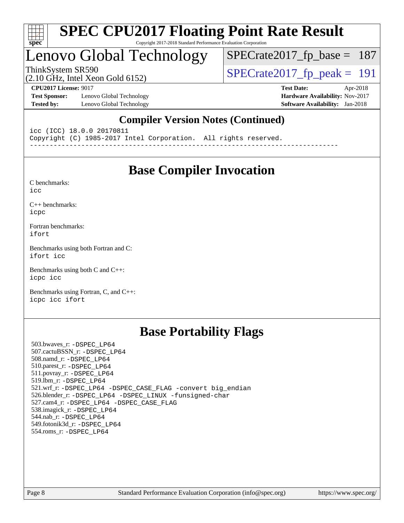

#### **[SPEC CPU2017 Floating Point Rate Result](http://www.spec.org/auto/cpu2017/Docs/result-fields.html#SPECCPU2017FloatingPointRateResult)** Copyright 2017-2018 Standard Performance Evaluation Corporation

# Lenovo Global Technology

ThinkSystem SR590<br>(2.10 GHz, Intel Xeon Gold 6152)  $\text{SPECrate2017\_fp\_peak} = 191$ [SPECrate2017\\_fp\\_base =](http://www.spec.org/auto/cpu2017/Docs/result-fields.html#SPECrate2017fpbase) 187

(2.10 GHz, Intel Xeon Gold 6152)

**[Test Sponsor:](http://www.spec.org/auto/cpu2017/Docs/result-fields.html#TestSponsor)** Lenovo Global Technology **[Hardware Availability:](http://www.spec.org/auto/cpu2017/Docs/result-fields.html#HardwareAvailability)** Nov-2017 **[Tested by:](http://www.spec.org/auto/cpu2017/Docs/result-fields.html#Testedby)** Lenovo Global Technology **[Software Availability:](http://www.spec.org/auto/cpu2017/Docs/result-fields.html#SoftwareAvailability)** Jan-2018

**[CPU2017 License:](http://www.spec.org/auto/cpu2017/Docs/result-fields.html#CPU2017License)** 9017 **[Test Date:](http://www.spec.org/auto/cpu2017/Docs/result-fields.html#TestDate)** Apr-2018

### **[Compiler Version Notes \(Continued\)](http://www.spec.org/auto/cpu2017/Docs/result-fields.html#CompilerVersionNotes)**

icc (ICC) 18.0.0 20170811 Copyright (C) 1985-2017 Intel Corporation. All rights reserved. ------------------------------------------------------------------------------

**[Base Compiler Invocation](http://www.spec.org/auto/cpu2017/Docs/result-fields.html#BaseCompilerInvocation)**

[C benchmarks](http://www.spec.org/auto/cpu2017/Docs/result-fields.html#Cbenchmarks):

[icc](http://www.spec.org/cpu2017/results/res2018q2/cpu2017-20180528-05948.flags.html#user_CCbase_intel_icc_18.0_66fc1ee009f7361af1fbd72ca7dcefbb700085f36577c54f309893dd4ec40d12360134090235512931783d35fd58c0460139e722d5067c5574d8eaf2b3e37e92)

[C++ benchmarks:](http://www.spec.org/auto/cpu2017/Docs/result-fields.html#CXXbenchmarks) [icpc](http://www.spec.org/cpu2017/results/res2018q2/cpu2017-20180528-05948.flags.html#user_CXXbase_intel_icpc_18.0_c510b6838c7f56d33e37e94d029a35b4a7bccf4766a728ee175e80a419847e808290a9b78be685c44ab727ea267ec2f070ec5dc83b407c0218cded6866a35d07)

[Fortran benchmarks](http://www.spec.org/auto/cpu2017/Docs/result-fields.html#Fortranbenchmarks): [ifort](http://www.spec.org/cpu2017/results/res2018q2/cpu2017-20180528-05948.flags.html#user_FCbase_intel_ifort_18.0_8111460550e3ca792625aed983ce982f94888b8b503583aa7ba2b8303487b4d8a21a13e7191a45c5fd58ff318f48f9492884d4413fa793fd88dd292cad7027ca)

[Benchmarks using both Fortran and C](http://www.spec.org/auto/cpu2017/Docs/result-fields.html#BenchmarksusingbothFortranandC): [ifort](http://www.spec.org/cpu2017/results/res2018q2/cpu2017-20180528-05948.flags.html#user_CC_FCbase_intel_ifort_18.0_8111460550e3ca792625aed983ce982f94888b8b503583aa7ba2b8303487b4d8a21a13e7191a45c5fd58ff318f48f9492884d4413fa793fd88dd292cad7027ca) [icc](http://www.spec.org/cpu2017/results/res2018q2/cpu2017-20180528-05948.flags.html#user_CC_FCbase_intel_icc_18.0_66fc1ee009f7361af1fbd72ca7dcefbb700085f36577c54f309893dd4ec40d12360134090235512931783d35fd58c0460139e722d5067c5574d8eaf2b3e37e92)

[Benchmarks using both C and C++](http://www.spec.org/auto/cpu2017/Docs/result-fields.html#BenchmarksusingbothCandCXX): [icpc](http://www.spec.org/cpu2017/results/res2018q2/cpu2017-20180528-05948.flags.html#user_CC_CXXbase_intel_icpc_18.0_c510b6838c7f56d33e37e94d029a35b4a7bccf4766a728ee175e80a419847e808290a9b78be685c44ab727ea267ec2f070ec5dc83b407c0218cded6866a35d07) [icc](http://www.spec.org/cpu2017/results/res2018q2/cpu2017-20180528-05948.flags.html#user_CC_CXXbase_intel_icc_18.0_66fc1ee009f7361af1fbd72ca7dcefbb700085f36577c54f309893dd4ec40d12360134090235512931783d35fd58c0460139e722d5067c5574d8eaf2b3e37e92)

[Benchmarks using Fortran, C, and C++:](http://www.spec.org/auto/cpu2017/Docs/result-fields.html#BenchmarksusingFortranCandCXX) [icpc](http://www.spec.org/cpu2017/results/res2018q2/cpu2017-20180528-05948.flags.html#user_CC_CXX_FCbase_intel_icpc_18.0_c510b6838c7f56d33e37e94d029a35b4a7bccf4766a728ee175e80a419847e808290a9b78be685c44ab727ea267ec2f070ec5dc83b407c0218cded6866a35d07) [icc](http://www.spec.org/cpu2017/results/res2018q2/cpu2017-20180528-05948.flags.html#user_CC_CXX_FCbase_intel_icc_18.0_66fc1ee009f7361af1fbd72ca7dcefbb700085f36577c54f309893dd4ec40d12360134090235512931783d35fd58c0460139e722d5067c5574d8eaf2b3e37e92) [ifort](http://www.spec.org/cpu2017/results/res2018q2/cpu2017-20180528-05948.flags.html#user_CC_CXX_FCbase_intel_ifort_18.0_8111460550e3ca792625aed983ce982f94888b8b503583aa7ba2b8303487b4d8a21a13e7191a45c5fd58ff318f48f9492884d4413fa793fd88dd292cad7027ca)

### **[Base Portability Flags](http://www.spec.org/auto/cpu2017/Docs/result-fields.html#BasePortabilityFlags)**

 503.bwaves\_r: [-DSPEC\\_LP64](http://www.spec.org/cpu2017/results/res2018q2/cpu2017-20180528-05948.flags.html#suite_basePORTABILITY503_bwaves_r_DSPEC_LP64) 507.cactuBSSN\_r: [-DSPEC\\_LP64](http://www.spec.org/cpu2017/results/res2018q2/cpu2017-20180528-05948.flags.html#suite_basePORTABILITY507_cactuBSSN_r_DSPEC_LP64) 508.namd\_r: [-DSPEC\\_LP64](http://www.spec.org/cpu2017/results/res2018q2/cpu2017-20180528-05948.flags.html#suite_basePORTABILITY508_namd_r_DSPEC_LP64) 510.parest\_r: [-DSPEC\\_LP64](http://www.spec.org/cpu2017/results/res2018q2/cpu2017-20180528-05948.flags.html#suite_basePORTABILITY510_parest_r_DSPEC_LP64) 511.povray\_r: [-DSPEC\\_LP64](http://www.spec.org/cpu2017/results/res2018q2/cpu2017-20180528-05948.flags.html#suite_basePORTABILITY511_povray_r_DSPEC_LP64) 519.lbm\_r: [-DSPEC\\_LP64](http://www.spec.org/cpu2017/results/res2018q2/cpu2017-20180528-05948.flags.html#suite_basePORTABILITY519_lbm_r_DSPEC_LP64) 521.wrf\_r: [-DSPEC\\_LP64](http://www.spec.org/cpu2017/results/res2018q2/cpu2017-20180528-05948.flags.html#suite_basePORTABILITY521_wrf_r_DSPEC_LP64) [-DSPEC\\_CASE\\_FLAG](http://www.spec.org/cpu2017/results/res2018q2/cpu2017-20180528-05948.flags.html#b521.wrf_r_baseCPORTABILITY_DSPEC_CASE_FLAG) [-convert big\\_endian](http://www.spec.org/cpu2017/results/res2018q2/cpu2017-20180528-05948.flags.html#user_baseFPORTABILITY521_wrf_r_convert_big_endian_c3194028bc08c63ac5d04de18c48ce6d347e4e562e8892b8bdbdc0214820426deb8554edfa529a3fb25a586e65a3d812c835984020483e7e73212c4d31a38223) 526.blender\_r: [-DSPEC\\_LP64](http://www.spec.org/cpu2017/results/res2018q2/cpu2017-20180528-05948.flags.html#suite_basePORTABILITY526_blender_r_DSPEC_LP64) [-DSPEC\\_LINUX](http://www.spec.org/cpu2017/results/res2018q2/cpu2017-20180528-05948.flags.html#b526.blender_r_baseCPORTABILITY_DSPEC_LINUX) [-funsigned-char](http://www.spec.org/cpu2017/results/res2018q2/cpu2017-20180528-05948.flags.html#user_baseCPORTABILITY526_blender_r_force_uchar_40c60f00ab013830e2dd6774aeded3ff59883ba5a1fc5fc14077f794d777847726e2a5858cbc7672e36e1b067e7e5c1d9a74f7176df07886a243d7cc18edfe67) 527.cam4\_r: [-DSPEC\\_LP64](http://www.spec.org/cpu2017/results/res2018q2/cpu2017-20180528-05948.flags.html#suite_basePORTABILITY527_cam4_r_DSPEC_LP64) [-DSPEC\\_CASE\\_FLAG](http://www.spec.org/cpu2017/results/res2018q2/cpu2017-20180528-05948.flags.html#b527.cam4_r_baseCPORTABILITY_DSPEC_CASE_FLAG) 538.imagick\_r: [-DSPEC\\_LP64](http://www.spec.org/cpu2017/results/res2018q2/cpu2017-20180528-05948.flags.html#suite_basePORTABILITY538_imagick_r_DSPEC_LP64) 544.nab\_r: [-DSPEC\\_LP64](http://www.spec.org/cpu2017/results/res2018q2/cpu2017-20180528-05948.flags.html#suite_basePORTABILITY544_nab_r_DSPEC_LP64) 549.fotonik3d\_r: [-DSPEC\\_LP64](http://www.spec.org/cpu2017/results/res2018q2/cpu2017-20180528-05948.flags.html#suite_basePORTABILITY549_fotonik3d_r_DSPEC_LP64) 554.roms\_r: [-DSPEC\\_LP64](http://www.spec.org/cpu2017/results/res2018q2/cpu2017-20180528-05948.flags.html#suite_basePORTABILITY554_roms_r_DSPEC_LP64)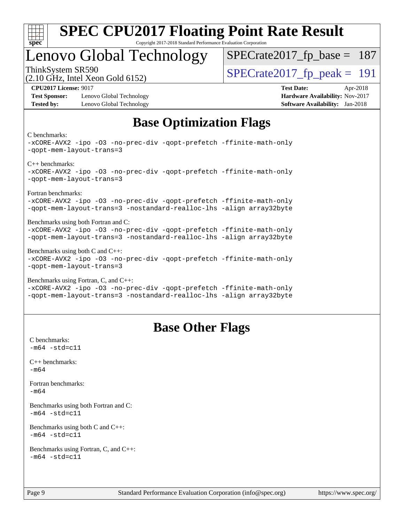

#### **[SPEC CPU2017 Floating Point Rate Result](http://www.spec.org/auto/cpu2017/Docs/result-fields.html#SPECCPU2017FloatingPointRateResult)** Copyright 2017-2018 Standard Performance Evaluation Corporation

### Lenovo Global Technology

ThinkSystem SR590<br>  $\frac{1}{2}$  [SPECrate2017\\_fp\\_peak =](http://www.spec.org/auto/cpu2017/Docs/result-fields.html#SPECrate2017fppeak) 191 [SPECrate2017\\_fp\\_base =](http://www.spec.org/auto/cpu2017/Docs/result-fields.html#SPECrate2017fpbase) 187

(2.10 GHz, Intel Xeon Gold 6152)

**[Test Sponsor:](http://www.spec.org/auto/cpu2017/Docs/result-fields.html#TestSponsor)** Lenovo Global Technology **[Hardware Availability:](http://www.spec.org/auto/cpu2017/Docs/result-fields.html#HardwareAvailability)** Nov-2017 **[Tested by:](http://www.spec.org/auto/cpu2017/Docs/result-fields.html#Testedby)** Lenovo Global Technology **[Software Availability:](http://www.spec.org/auto/cpu2017/Docs/result-fields.html#SoftwareAvailability)** Jan-2018

**[CPU2017 License:](http://www.spec.org/auto/cpu2017/Docs/result-fields.html#CPU2017License)** 9017 **[Test Date:](http://www.spec.org/auto/cpu2017/Docs/result-fields.html#TestDate)** Apr-2018

### **[Base Optimization Flags](http://www.spec.org/auto/cpu2017/Docs/result-fields.html#BaseOptimizationFlags)**

#### [C benchmarks](http://www.spec.org/auto/cpu2017/Docs/result-fields.html#Cbenchmarks):

```
-xCORE-AVX2 -ipo -O3 -no-prec-div -qopt-prefetch -ffinite-math-only
-qopt-mem-layout-trans=3
C++ benchmarks: 
-xCORE-AVX2 -ipo -O3 -no-prec-div -qopt-prefetch -ffinite-math-only
-qopt-mem-layout-trans=3
Fortran benchmarks: 
-xCORE-AVX2 -ipo -O3 -no-prec-div -qopt-prefetch -ffinite-math-only
-qopt-mem-layout-trans=3 -nostandard-realloc-lhs -align array32byte
Benchmarks using both Fortran and C: 
-xCORE-AVX2 -ipo -O3 -no-prec-div -qopt-prefetch -ffinite-math-only
-qopt-mem-layout-trans=3 -nostandard-realloc-lhs -align array32byte
Benchmarks using both C and C++: 
-xCORE-AVX2 -ipo -O3 -no-prec-div -qopt-prefetch -ffinite-math-only
-qopt-mem-layout-trans=3
Benchmarks using Fortran, C, and C++: 
-xCORE-AVX2 -ipo -O3 -no-prec-div -qopt-prefetch -ffinite-math-only
```
#### [-qopt-mem-layout-trans=3](http://www.spec.org/cpu2017/results/res2018q2/cpu2017-20180528-05948.flags.html#user_CC_CXX_FCbase_f-qopt-mem-layout-trans_de80db37974c74b1f0e20d883f0b675c88c3b01e9d123adea9b28688d64333345fb62bc4a798493513fdb68f60282f9a726aa07f478b2f7113531aecce732043) [-nostandard-realloc-lhs](http://www.spec.org/cpu2017/results/res2018q2/cpu2017-20180528-05948.flags.html#user_CC_CXX_FCbase_f_2003_std_realloc_82b4557e90729c0f113870c07e44d33d6f5a304b4f63d4c15d2d0f1fab99f5daaed73bdb9275d9ae411527f28b936061aa8b9c8f2d63842963b95c9dd6426b8a) [-align array32byte](http://www.spec.org/cpu2017/results/res2018q2/cpu2017-20180528-05948.flags.html#user_CC_CXX_FCbase_align_array32byte_b982fe038af199962ba9a80c053b8342c548c85b40b8e86eb3cc33dee0d7986a4af373ac2d51c3f7cf710a18d62fdce2948f201cd044323541f22fc0fffc51b6)

### **[Base Other Flags](http://www.spec.org/auto/cpu2017/Docs/result-fields.html#BaseOtherFlags)**

[C benchmarks](http://www.spec.org/auto/cpu2017/Docs/result-fields.html#Cbenchmarks):  $-m64 - std = c11$  $-m64 - std = c11$ [C++ benchmarks:](http://www.spec.org/auto/cpu2017/Docs/result-fields.html#CXXbenchmarks) [-m64](http://www.spec.org/cpu2017/results/res2018q2/cpu2017-20180528-05948.flags.html#user_CXXbase_intel_intel64_18.0_af43caccfc8ded86e7699f2159af6efc7655f51387b94da716254467f3c01020a5059329e2569e4053f409e7c9202a7efc638f7a6d1ffb3f52dea4a3e31d82ab) [Fortran benchmarks](http://www.spec.org/auto/cpu2017/Docs/result-fields.html#Fortranbenchmarks): [-m64](http://www.spec.org/cpu2017/results/res2018q2/cpu2017-20180528-05948.flags.html#user_FCbase_intel_intel64_18.0_af43caccfc8ded86e7699f2159af6efc7655f51387b94da716254467f3c01020a5059329e2569e4053f409e7c9202a7efc638f7a6d1ffb3f52dea4a3e31d82ab) [Benchmarks using both Fortran and C](http://www.spec.org/auto/cpu2017/Docs/result-fields.html#BenchmarksusingbothFortranandC):  $-m64$   $-std=cl1$ [Benchmarks using both C and C++](http://www.spec.org/auto/cpu2017/Docs/result-fields.html#BenchmarksusingbothCandCXX):  $-m64 - std= c11$  $-m64 - std= c11$ [Benchmarks using Fortran, C, and C++:](http://www.spec.org/auto/cpu2017/Docs/result-fields.html#BenchmarksusingFortranCandCXX)  $-m64 - std = c11$  $-m64 - std = c11$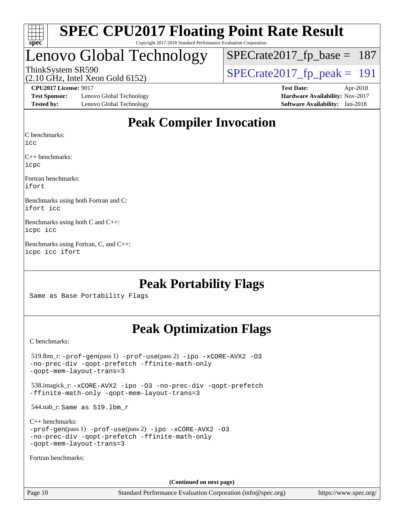

#### **[SPEC CPU2017 Floating Point Rate Result](http://www.spec.org/auto/cpu2017/Docs/result-fields.html#SPECCPU2017FloatingPointRateResult)** Copyright 2017-2018 Standard Performance Evaluation Corporation

## Lenovo Global Technology

ThinkSystem SR590<br>(2.10 GHz, Intel Xeon Gold 6152)  $\text{SPECrate2017\_fp\_peak} = 191$ [SPECrate2017\\_fp\\_base =](http://www.spec.org/auto/cpu2017/Docs/result-fields.html#SPECrate2017fpbase) 187

(2.10 GHz, Intel Xeon Gold 6152)

**[Test Sponsor:](http://www.spec.org/auto/cpu2017/Docs/result-fields.html#TestSponsor)** Lenovo Global Technology **[Hardware Availability:](http://www.spec.org/auto/cpu2017/Docs/result-fields.html#HardwareAvailability)** Nov-2017 **[Tested by:](http://www.spec.org/auto/cpu2017/Docs/result-fields.html#Testedby)** Lenovo Global Technology **[Software Availability:](http://www.spec.org/auto/cpu2017/Docs/result-fields.html#SoftwareAvailability)** Jan-2018

**[CPU2017 License:](http://www.spec.org/auto/cpu2017/Docs/result-fields.html#CPU2017License)** 9017 **[Test Date:](http://www.spec.org/auto/cpu2017/Docs/result-fields.html#TestDate)** Apr-2018

### **[Peak Compiler Invocation](http://www.spec.org/auto/cpu2017/Docs/result-fields.html#PeakCompilerInvocation)**

[C benchmarks](http://www.spec.org/auto/cpu2017/Docs/result-fields.html#Cbenchmarks):

[icc](http://www.spec.org/cpu2017/results/res2018q2/cpu2017-20180528-05948.flags.html#user_CCpeak_intel_icc_18.0_66fc1ee009f7361af1fbd72ca7dcefbb700085f36577c54f309893dd4ec40d12360134090235512931783d35fd58c0460139e722d5067c5574d8eaf2b3e37e92)

[C++ benchmarks:](http://www.spec.org/auto/cpu2017/Docs/result-fields.html#CXXbenchmarks) [icpc](http://www.spec.org/cpu2017/results/res2018q2/cpu2017-20180528-05948.flags.html#user_CXXpeak_intel_icpc_18.0_c510b6838c7f56d33e37e94d029a35b4a7bccf4766a728ee175e80a419847e808290a9b78be685c44ab727ea267ec2f070ec5dc83b407c0218cded6866a35d07)

[Fortran benchmarks](http://www.spec.org/auto/cpu2017/Docs/result-fields.html#Fortranbenchmarks): [ifort](http://www.spec.org/cpu2017/results/res2018q2/cpu2017-20180528-05948.flags.html#user_FCpeak_intel_ifort_18.0_8111460550e3ca792625aed983ce982f94888b8b503583aa7ba2b8303487b4d8a21a13e7191a45c5fd58ff318f48f9492884d4413fa793fd88dd292cad7027ca)

[Benchmarks using both Fortran and C](http://www.spec.org/auto/cpu2017/Docs/result-fields.html#BenchmarksusingbothFortranandC): [ifort](http://www.spec.org/cpu2017/results/res2018q2/cpu2017-20180528-05948.flags.html#user_CC_FCpeak_intel_ifort_18.0_8111460550e3ca792625aed983ce982f94888b8b503583aa7ba2b8303487b4d8a21a13e7191a45c5fd58ff318f48f9492884d4413fa793fd88dd292cad7027ca) [icc](http://www.spec.org/cpu2017/results/res2018q2/cpu2017-20180528-05948.flags.html#user_CC_FCpeak_intel_icc_18.0_66fc1ee009f7361af1fbd72ca7dcefbb700085f36577c54f309893dd4ec40d12360134090235512931783d35fd58c0460139e722d5067c5574d8eaf2b3e37e92)

[Benchmarks using both C and C++:](http://www.spec.org/auto/cpu2017/Docs/result-fields.html#BenchmarksusingbothCandCXX) [icpc](http://www.spec.org/cpu2017/results/res2018q2/cpu2017-20180528-05948.flags.html#user_CC_CXXpeak_intel_icpc_18.0_c510b6838c7f56d33e37e94d029a35b4a7bccf4766a728ee175e80a419847e808290a9b78be685c44ab727ea267ec2f070ec5dc83b407c0218cded6866a35d07) [icc](http://www.spec.org/cpu2017/results/res2018q2/cpu2017-20180528-05948.flags.html#user_CC_CXXpeak_intel_icc_18.0_66fc1ee009f7361af1fbd72ca7dcefbb700085f36577c54f309893dd4ec40d12360134090235512931783d35fd58c0460139e722d5067c5574d8eaf2b3e37e92)

[Benchmarks using Fortran, C, and C++](http://www.spec.org/auto/cpu2017/Docs/result-fields.html#BenchmarksusingFortranCandCXX): [icpc](http://www.spec.org/cpu2017/results/res2018q2/cpu2017-20180528-05948.flags.html#user_CC_CXX_FCpeak_intel_icpc_18.0_c510b6838c7f56d33e37e94d029a35b4a7bccf4766a728ee175e80a419847e808290a9b78be685c44ab727ea267ec2f070ec5dc83b407c0218cded6866a35d07) [icc](http://www.spec.org/cpu2017/results/res2018q2/cpu2017-20180528-05948.flags.html#user_CC_CXX_FCpeak_intel_icc_18.0_66fc1ee009f7361af1fbd72ca7dcefbb700085f36577c54f309893dd4ec40d12360134090235512931783d35fd58c0460139e722d5067c5574d8eaf2b3e37e92) [ifort](http://www.spec.org/cpu2017/results/res2018q2/cpu2017-20180528-05948.flags.html#user_CC_CXX_FCpeak_intel_ifort_18.0_8111460550e3ca792625aed983ce982f94888b8b503583aa7ba2b8303487b4d8a21a13e7191a45c5fd58ff318f48f9492884d4413fa793fd88dd292cad7027ca)

### **[Peak Portability Flags](http://www.spec.org/auto/cpu2017/Docs/result-fields.html#PeakPortabilityFlags)**

Same as Base Portability Flags

### **[Peak Optimization Flags](http://www.spec.org/auto/cpu2017/Docs/result-fields.html#PeakOptimizationFlags)**

[C benchmarks](http://www.spec.org/auto/cpu2017/Docs/result-fields.html#Cbenchmarks):

 519.lbm\_r: [-prof-gen](http://www.spec.org/cpu2017/results/res2018q2/cpu2017-20180528-05948.flags.html#user_peakPASS1_CFLAGSPASS1_LDFLAGS519_lbm_r_prof_gen_5aa4926d6013ddb2a31985c654b3eb18169fc0c6952a63635c234f711e6e63dd76e94ad52365559451ec499a2cdb89e4dc58ba4c67ef54ca681ffbe1461d6b36)(pass 1) [-prof-use](http://www.spec.org/cpu2017/results/res2018q2/cpu2017-20180528-05948.flags.html#user_peakPASS2_CFLAGSPASS2_LDFLAGS519_lbm_r_prof_use_1a21ceae95f36a2b53c25747139a6c16ca95bd9def2a207b4f0849963b97e94f5260e30a0c64f4bb623698870e679ca08317ef8150905d41bd88c6f78df73f19)(pass 2) [-ipo](http://www.spec.org/cpu2017/results/res2018q2/cpu2017-20180528-05948.flags.html#user_peakPASS1_COPTIMIZEPASS2_COPTIMIZE519_lbm_r_f-ipo) [-xCORE-AVX2](http://www.spec.org/cpu2017/results/res2018q2/cpu2017-20180528-05948.flags.html#user_peakPASS2_COPTIMIZE519_lbm_r_f-xCORE-AVX2) [-O3](http://www.spec.org/cpu2017/results/res2018q2/cpu2017-20180528-05948.flags.html#user_peakPASS1_COPTIMIZEPASS2_COPTIMIZE519_lbm_r_f-O3) [-no-prec-div](http://www.spec.org/cpu2017/results/res2018q2/cpu2017-20180528-05948.flags.html#user_peakPASS1_COPTIMIZEPASS2_COPTIMIZE519_lbm_r_f-no-prec-div) [-qopt-prefetch](http://www.spec.org/cpu2017/results/res2018q2/cpu2017-20180528-05948.flags.html#user_peakPASS1_COPTIMIZEPASS2_COPTIMIZE519_lbm_r_f-qopt-prefetch) [-ffinite-math-only](http://www.spec.org/cpu2017/results/res2018q2/cpu2017-20180528-05948.flags.html#user_peakPASS1_COPTIMIZEPASS2_COPTIMIZE519_lbm_r_f_finite_math_only_cb91587bd2077682c4b38af759c288ed7c732db004271a9512da14a4f8007909a5f1427ecbf1a0fb78ff2a814402c6114ac565ca162485bbcae155b5e4258871) [-qopt-mem-layout-trans=3](http://www.spec.org/cpu2017/results/res2018q2/cpu2017-20180528-05948.flags.html#user_peakPASS1_COPTIMIZEPASS2_COPTIMIZE519_lbm_r_f-qopt-mem-layout-trans_de80db37974c74b1f0e20d883f0b675c88c3b01e9d123adea9b28688d64333345fb62bc4a798493513fdb68f60282f9a726aa07f478b2f7113531aecce732043) 538.imagick\_r: [-xCORE-AVX2](http://www.spec.org/cpu2017/results/res2018q2/cpu2017-20180528-05948.flags.html#user_peakCOPTIMIZE538_imagick_r_f-xCORE-AVX2) [-ipo](http://www.spec.org/cpu2017/results/res2018q2/cpu2017-20180528-05948.flags.html#user_peakCOPTIMIZE538_imagick_r_f-ipo) [-O3](http://www.spec.org/cpu2017/results/res2018q2/cpu2017-20180528-05948.flags.html#user_peakCOPTIMIZE538_imagick_r_f-O3) [-no-prec-div](http://www.spec.org/cpu2017/results/res2018q2/cpu2017-20180528-05948.flags.html#user_peakCOPTIMIZE538_imagick_r_f-no-prec-div) [-qopt-prefetch](http://www.spec.org/cpu2017/results/res2018q2/cpu2017-20180528-05948.flags.html#user_peakCOPTIMIZE538_imagick_r_f-qopt-prefetch) [-ffinite-math-only](http://www.spec.org/cpu2017/results/res2018q2/cpu2017-20180528-05948.flags.html#user_peakCOPTIMIZE538_imagick_r_f_finite_math_only_cb91587bd2077682c4b38af759c288ed7c732db004271a9512da14a4f8007909a5f1427ecbf1a0fb78ff2a814402c6114ac565ca162485bbcae155b5e4258871) [-qopt-mem-layout-trans=3](http://www.spec.org/cpu2017/results/res2018q2/cpu2017-20180528-05948.flags.html#user_peakCOPTIMIZE538_imagick_r_f-qopt-mem-layout-trans_de80db37974c74b1f0e20d883f0b675c88c3b01e9d123adea9b28688d64333345fb62bc4a798493513fdb68f60282f9a726aa07f478b2f7113531aecce732043) 544.nab\_r: Same as 519.lbm\_r [C++ benchmarks:](http://www.spec.org/auto/cpu2017/Docs/result-fields.html#CXXbenchmarks) [-prof-gen](http://www.spec.org/cpu2017/results/res2018q2/cpu2017-20180528-05948.flags.html#user_CXXpeak_prof_gen_5aa4926d6013ddb2a31985c654b3eb18169fc0c6952a63635c234f711e6e63dd76e94ad52365559451ec499a2cdb89e4dc58ba4c67ef54ca681ffbe1461d6b36)(pass 1) [-prof-use](http://www.spec.org/cpu2017/results/res2018q2/cpu2017-20180528-05948.flags.html#user_CXXpeak_prof_use_1a21ceae95f36a2b53c25747139a6c16ca95bd9def2a207b4f0849963b97e94f5260e30a0c64f4bb623698870e679ca08317ef8150905d41bd88c6f78df73f19)(pass 2) [-ipo](http://www.spec.org/cpu2017/results/res2018q2/cpu2017-20180528-05948.flags.html#user_CXXpeak_f-ipo) [-xCORE-AVX2](http://www.spec.org/cpu2017/results/res2018q2/cpu2017-20180528-05948.flags.html#user_CXXpeak_f-xCORE-AVX2) [-O3](http://www.spec.org/cpu2017/results/res2018q2/cpu2017-20180528-05948.flags.html#user_CXXpeak_f-O3) [-no-prec-div](http://www.spec.org/cpu2017/results/res2018q2/cpu2017-20180528-05948.flags.html#user_CXXpeak_f-no-prec-div) [-qopt-prefetch](http://www.spec.org/cpu2017/results/res2018q2/cpu2017-20180528-05948.flags.html#user_CXXpeak_f-qopt-prefetch) [-ffinite-math-only](http://www.spec.org/cpu2017/results/res2018q2/cpu2017-20180528-05948.flags.html#user_CXXpeak_f_finite_math_only_cb91587bd2077682c4b38af759c288ed7c732db004271a9512da14a4f8007909a5f1427ecbf1a0fb78ff2a814402c6114ac565ca162485bbcae155b5e4258871) [-qopt-mem-layout-trans=3](http://www.spec.org/cpu2017/results/res2018q2/cpu2017-20180528-05948.flags.html#user_CXXpeak_f-qopt-mem-layout-trans_de80db37974c74b1f0e20d883f0b675c88c3b01e9d123adea9b28688d64333345fb62bc4a798493513fdb68f60282f9a726aa07f478b2f7113531aecce732043) [Fortran benchmarks](http://www.spec.org/auto/cpu2017/Docs/result-fields.html#Fortranbenchmarks): **(Continued on next page)**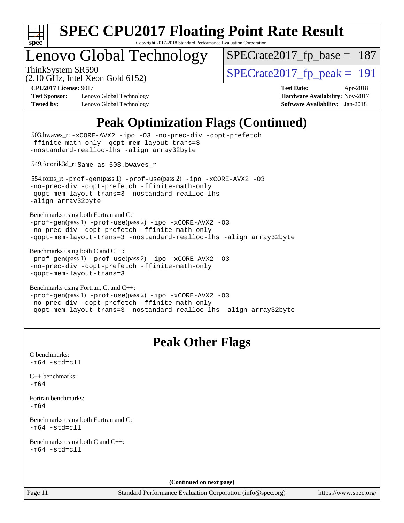

Copyright 2017-2018 Standard Performance Evaluation Corporation

## enovo Global Technology

ThinkSystem SR590<br>  $\frac{1}{2}$  [SPECrate2017\\_fp\\_peak =](http://www.spec.org/auto/cpu2017/Docs/result-fields.html#SPECrate2017fppeak) 191 [SPECrate2017\\_fp\\_base =](http://www.spec.org/auto/cpu2017/Docs/result-fields.html#SPECrate2017fpbase) 187

(2.10 GHz, Intel Xeon Gold 6152)

**[Test Sponsor:](http://www.spec.org/auto/cpu2017/Docs/result-fields.html#TestSponsor)** Lenovo Global Technology **[Hardware Availability:](http://www.spec.org/auto/cpu2017/Docs/result-fields.html#HardwareAvailability)** Nov-2017 **[Tested by:](http://www.spec.org/auto/cpu2017/Docs/result-fields.html#Testedby)** Lenovo Global Technology **[Software Availability:](http://www.spec.org/auto/cpu2017/Docs/result-fields.html#SoftwareAvailability)** Jan-2018

**[CPU2017 License:](http://www.spec.org/auto/cpu2017/Docs/result-fields.html#CPU2017License)** 9017 **[Test Date:](http://www.spec.org/auto/cpu2017/Docs/result-fields.html#TestDate)** Apr-2018

### **[Peak Optimization Flags \(Continued\)](http://www.spec.org/auto/cpu2017/Docs/result-fields.html#PeakOptimizationFlags)**

```
(info@spec.org)https://www.spec.org/
  503.bwaves_r: -xCORE-AVX2 -ipo -O3 -no-prec-div -qopt-prefetch
-ffinite-math-only -qopt-mem-layout-trans=3
-nostandard-realloc-lhs -align array32byte
  549.fotonik3d_r: Same as 503.bwaves_r
  554.roms_r: -prof-gen(pass 1) -prof-use(pass 2) -ipo -xCORE-AVX2 -O3
-no-prec-div -qopt-prefetch -ffinite-math-only
-qopt-mem-layout-trans=3 -nostandard-realloc-lhs
-align array32byte
Benchmarks using both Fortran and C: 
-prof-gen(pass 1) -prof-use(pass 2) -ipo -xCORE-AVX2 -O3
-no-prec-div -qopt-prefetch -ffinite-math-only
-qopt-mem-layout-trans=3 -nostandard-realloc-lhs -align array32byte
Benchmarks using both C and C++: 
-prof-gen(pass 1) -prof-use(pass 2) -ipo -xCORE-AVX2 -O3
-no-prec-div -qopt-prefetch -ffinite-math-only
-qopt-mem-layout-trans=3
Benchmarks using Fortran, C, and C++: 
-prof-gen(pass 1) -prof-use(pass 2) -ipo -xCORE-AVX2 -O3
-no-prec-div -qopt-prefetch -ffinite-math-only
-qopt-mem-layout-trans=3 -nostandard-realloc-lhs -align array32byte
                                 Peak Other Flags
C benchmarks: 
-m64 - std= c11C++ benchmarks: 
-m64Fortran benchmarks: 
-m64
Benchmarks using both Fortran and C: 
-m64 - std= c11Benchmarks using both C and C++: 
-m64 - std= c11(Continued on next page)
```